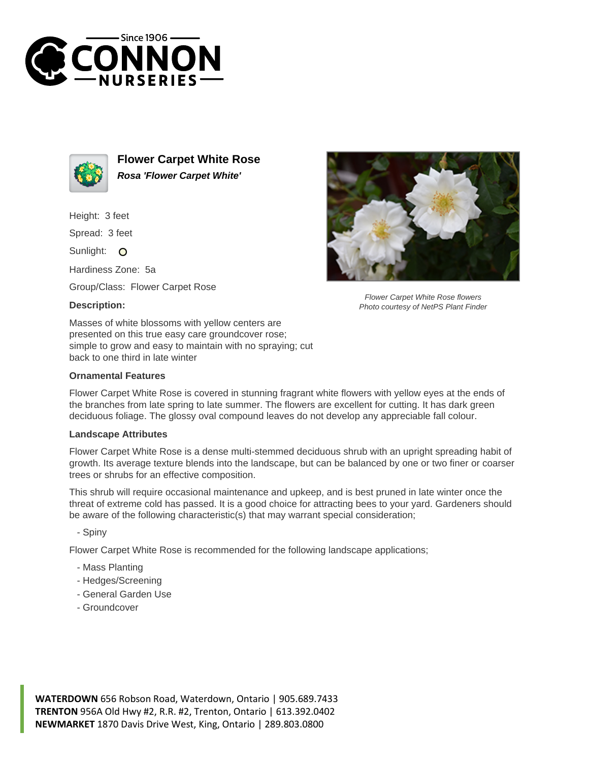



**Flower Carpet White Rose Rosa 'Flower Carpet White'**

Height: 3 feet

Spread: 3 feet

Sunlight: O

Hardiness Zone: 5a

Group/Class: Flower Carpet Rose

## **Description:**



## **Ornamental Features**

Flower Carpet White Rose is covered in stunning fragrant white flowers with yellow eyes at the ends of the branches from late spring to late summer. The flowers are excellent for cutting. It has dark green deciduous foliage. The glossy oval compound leaves do not develop any appreciable fall colour.

## **Landscape Attributes**

Flower Carpet White Rose is a dense multi-stemmed deciduous shrub with an upright spreading habit of growth. Its average texture blends into the landscape, but can be balanced by one or two finer or coarser trees or shrubs for an effective composition.

This shrub will require occasional maintenance and upkeep, and is best pruned in late winter once the threat of extreme cold has passed. It is a good choice for attracting bees to your yard. Gardeners should be aware of the following characteristic(s) that may warrant special consideration;

- Spiny

Flower Carpet White Rose is recommended for the following landscape applications;

- Mass Planting
- Hedges/Screening
- General Garden Use
- Groundcover





Flower Carpet White Rose flowers Photo courtesy of NetPS Plant Finder

**WATERDOWN** 656 Robson Road, Waterdown, Ontario | 905.689.7433 **TRENTON** 956A Old Hwy #2, R.R. #2, Trenton, Ontario | 613.392.0402 **NEWMARKET** 1870 Davis Drive West, King, Ontario | 289.803.0800